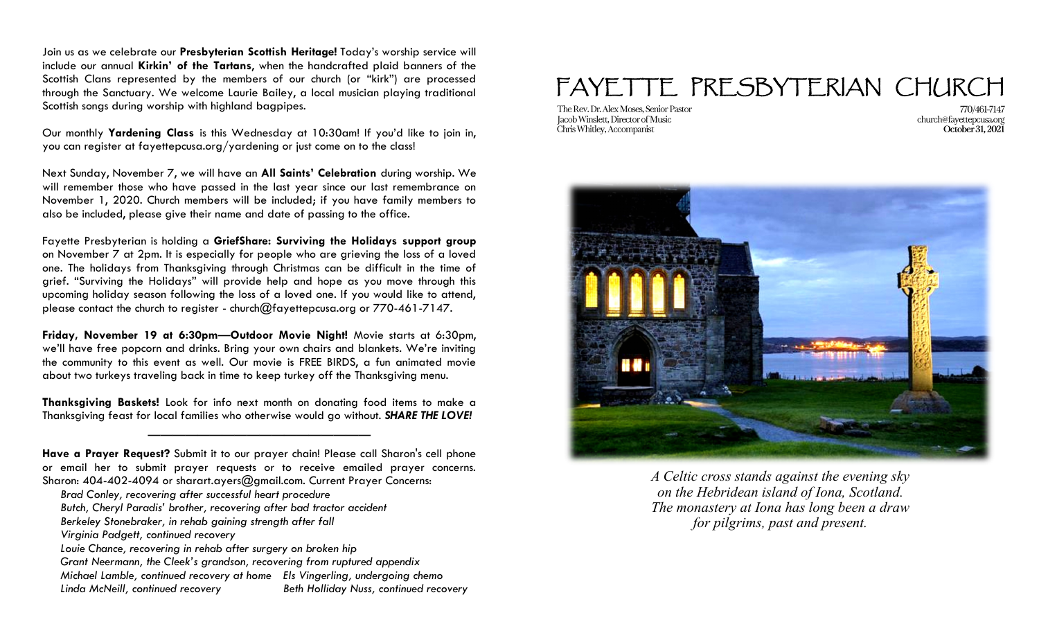Join us as we celebrate our **Presbyterian Scottish Heritage!** Today's worship service will include our annual **Kirkin' of the Tartans**, when the handcrafted plaid banners of the Scottish Clans represented by the members of our church (or "kirk") are processed through the Sanctuary. We welcome Laurie Bailey, a local musician playing traditional Scottish songs during worship with highland bagpipes.

Our monthly **Yardening Class** is this Wednesday at 10:30am! If you'd like to join in, you can register at fayettepcusa.org/yardening or just come on to the class!

Next Sunday, November 7, we will have an **All Saints' Celebration** during worship. We will remember those who have passed in the last year since our last remembrance on November 1, 2020. Church members will be included; if you have family members to also be included, please give their name and date of passing to the office.

Fayette Presbyterian is holding a **GriefShare: Surviving the Holidays support group**  on November 7 at 2pm. It is especially for people who are grieving the loss of a loved one. The holidays from Thanksgiving through Christmas can be difficult in the time of grief. "Surviving the Holidays" will provide help and hope as you move through this upcoming holiday season following the loss of a loved one. If you would like to attend, please contact the church to register - church $@$ fayettepcusa.org or 770-461-7147.

**Friday, November 19 at 6:30pm**—**Outdoor Movie Night!** Movie starts at 6:30pm, we'll have free popcorn and drinks. Bring your own chairs and blankets. We're inviting the community to this event as well. Our movie is FREE BIRDS, a fun animated movie about two turkeys traveling back in time to keep turkey off the Thanksgiving menu.

**Thanksgiving Baskets!** Look for info next month on donating food items to make a Thanksgiving feast for local families who otherwise would go without. *SHARE THE LOVE!*

——————————————————

- *Butch, Cheryl Paradis' brother, recovering after bad tractor accident*
- *Berkeley Stonebraker, in rehab gaining strength after fall*
- *Virginia Padgett, continued recovery*
- *Louie Chance, recovering in rehab after surgery on broken hip*
- *Grant Neermann, the Cleek's grandson, recovering from ruptured appendix Michael Lamble, continued recovery at home Els Vingerling, undergoing chemo Linda McNeill, continued recovery Beth Holliday Nuss, continued recovery*

## FAYETTE PRESBYTERIAN CHURCH

The Rev. Dr. Alex Moses. Senior Pastor Jacob Winslett, Director of Music Chris Whitley, Accompanist

770/461-7147 church@fayettepcusa.org October 31, 2021



*A Celtic cross stands against the evening sky on the Hebridean island of Iona, Scotland. The monastery at Iona has long been a draw for pilgrims, past and present.*

**Have a Prayer Request?** Submit it to our prayer chain! Please call Sharon's cell phone or email her to submit prayer requests or to receive emailed prayer concerns. Sharon: 404-402-4094 or sharart.ayers@gmail.com. Current Prayer Concerns:

*Brad Conley, recovering after successful heart procedure*